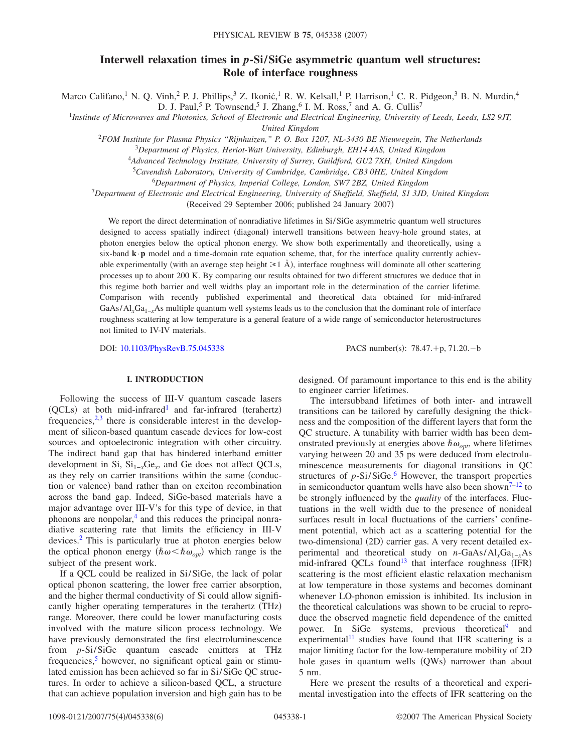# **Interwell relaxation times in** *p***-Si/SiGe asymmetric quantum well structures: Role of interface roughness**

Marco Califano,<sup>1</sup> N. Q. Vinh,<sup>2</sup> P. J. Phillips,<sup>3</sup> Z. Ikonić,<sup>1</sup> R. W. Kelsall,<sup>1</sup> P. Harrison,<sup>1</sup> C. R. Pidgeon,<sup>3</sup> B. N. Murdin,<sup>4</sup> D. J. Paul,<sup>5</sup> P. Townsend,<sup>5</sup> J. Zhang,<sup>6</sup> I. M. Ross,<sup>7</sup> and A. G. Cullis<sup>7</sup>

1 *Institute of Microwaves and Photonics, School of Electronic and Electrical Engineering, University of Leeds, Leeds, LS2 9JT, United Kingdom*

<sup>2</sup>*FOM Institute for Plasma Physics "Rijnhuizen," P. O. Box 1207, NL-3430 BE Nieuwegein, The Netherlands*

<sup>3</sup>*Department of Physics, Heriot-Watt University, Edinburgh, EH14 4AS, United Kingdom*

4 *Advanced Technology Institute, University of Surrey, Guildford, GU2 7XH, United Kingdom*

5 *Cavendish Laboratory, University of Cambridge, Cambridge, CB3 0HE, United Kingdom*

6 *Department of Physics, Imperial College, London, SW7 2BZ, United Kingdom*

7 *Department of Electronic and Electrical Engineering, University of Sheffield, Sheffield, S1 3JD, United Kingdom*

(Received 29 September 2006; published 24 January 2007)

We report the direct determination of nonradiative lifetimes in Si/SiGe asymmetric quantum well structures designed to access spatially indirect (diagonal) interwell transitions between heavy-hole ground states, at photon energies below the optical phonon energy. We show both experimentally and theoretically, using a six-band  $\mathbf{k} \cdot \mathbf{p}$  model and a time-domain rate equation scheme, that, for the interface quality currently achievable experimentally (with an average step height  $\geq 1$  Å), interface roughness will dominate all other scattering processes up to about 200 K. By comparing our results obtained for two different structures we deduce that in this regime both barrier and well widths play an important role in the determination of the carrier lifetime. Comparison with recently published experimental and theoretical data obtained for mid-infrared GaAs/Al<sub>x</sub>Ga<sub>1-*x*</sub>As multiple quantum well systems leads us to the conclusion that the dominant role of interface roughness scattering at low temperature is a general feature of a wide range of semiconductor heterostructures not limited to IV-IV materials.

DOI: [10.1103/PhysRevB.75.045338](http://dx.doi.org/10.1103/PhysRevB.75.045338)

 $: 78.47.+p, 71.20.-b$ 

# **I. INTRODUCTION**

Following the success of III-V quantum cascade lasers  $(QCLs)$  at both mid-infrared<sup>1</sup> and far-infrared (terahertz) frequencies,  $2,3$  $2,3$  there is considerable interest in the development of silicon-based quantum cascade devices for low-cost sources and optoelectronic integration with other circuitry. The indirect band gap that has hindered interband emitter development in Si,  $Si_{1-x}Ge_x$ , and Ge does not affect QCLs, as they rely on carrier transitions within the same (conduction or valence) band rather than on exciton recombination across the band gap. Indeed, SiGe-based materials have a major advantage over III-V's for this type of device, in that phonons are nonpolar, $\frac{4}{3}$  and this reduces the principal nonradiative scattering rate that limits the efficiency in III-V devices[.2](#page-5-1) This is particularly true at photon energies below the optical phonon energy  $(\hbar \omega < \hbar \omega_{opt})$  which range is the subject of the present work.

If a QCL could be realized in Si/SiGe, the lack of polar optical phonon scattering, the lower free carrier absorption, and the higher thermal conductivity of Si could allow significantly higher operating temperatures in the terahertz (THz) range. Moreover, there could be lower manufacturing costs involved with the mature silicon process technology. We have previously demonstrated the first electroluminescence from *p*-Si/SiGe quantum cascade emitters at THz frequencies, $\frac{5}{9}$  however, no significant optical gain or stimulated emission has been achieved so far in Si/SiGe QC structures. In order to achieve a silicon-based QCL, a structure that can achieve population inversion and high gain has to be designed. Of paramount importance to this end is the ability to engineer carrier lifetimes.

The intersubband lifetimes of both inter- and intrawell transitions can be tailored by carefully designing the thickness and the composition of the different layers that form the QC structure. A tunability with barrier width has been demonstrated previously at energies above  $\hbar \omega_{opt}$ , where lifetimes varying between 20 and 35 ps were deduced from electroluminescence measurements for diagonal transitions in QC structures of *p*-Si/SiGe.<sup>6</sup> However, the transport properties in semiconductor quantum wells have also been shown<sup>7–[12](#page-5-7)</sup> to be strongly influenced by the *quality* of the interfaces. Fluctuations in the well width due to the presence of nonideal surfaces result in local fluctuations of the carriers' confinement potential, which act as a scattering potential for the two-dimensional (2D) carrier gas. A very recent detailed experimental and theoretical study on *n*-GaAs/Al<sub>x</sub>Ga<sub>1−*x*</sub>As mid-infrared QCLs found<sup>13</sup> that interface roughness (IFR) scattering is the most efficient elastic relaxation mechanism at low temperature in those systems and becomes dominant whenever LO-phonon emission is inhibited. Its inclusion in the theoretical calculations was shown to be crucial to reproduce the observed magnetic field dependence of the emitted power. In SiGe systems, previous theoretical<sup>9</sup> and experimental<sup>11</sup> studies have found that IFR scattering is a major limiting factor for the low-temperature mobility of 2D hole gases in quantum wells (QWs) narrower than about 5 nm.

Here we present the results of a theoretical and experimental investigation into the effects of IFR scattering on the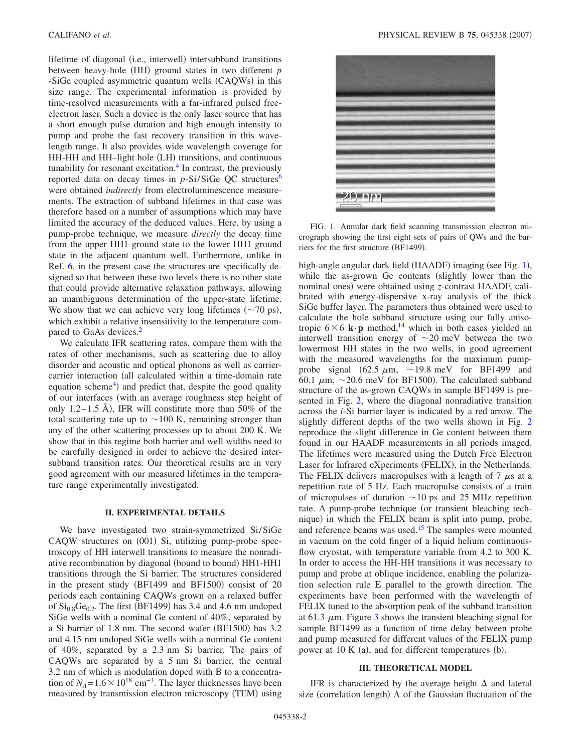lifetime of diagonal (i.e., interwell) intersubband transitions between heavy-hole (HH) ground states in two different *p* -SiGe coupled asymmetric quantum wells (CAQWs) in this size range. The experimental information is provided by time-resolved measurements with a far-infrared pulsed freeelectron laser. Such a device is the only laser source that has a short enough pulse duration and high enough intensity to pump and probe the fast recovery transition in this wavelength range. It also provides wide wavelength coverage for HH-HH and HH-light hole (LH) transitions, and continuous tunability for resonant excitation.<sup>4</sup> In contrast, the previously reported data on decay times in *p*-Si/SiGe QC structures<sup>6</sup> were obtained *indirectly* from electroluminescence measurements. The extraction of subband lifetimes in that case was therefore based on a number of assumptions which may have limited the accuracy of the deduced values. Here, by using a pump-probe technique, we measure *directly* the decay time from the upper HH1 ground state to the lower HH1 ground state in the adjacent quantum well. Furthermore, unlike in Ref. [6,](#page-5-5) in the present case the structures are specifically designed so that between these two levels there is no other state that could provide alternative relaxation pathways, allowing an unambiguous determination of the upper-state lifetime. We show that we can achieve very long lifetimes  $({\sim}70 \text{ ps}),$ which exhibit a relative insensitivity to the temperature compared to GaAs devices.<sup>2</sup>

We calculate IFR scattering rates, compare them with the rates of other mechanisms, such as scattering due to alloy disorder and acoustic and optical phonons as well as carriercarrier interaction (all calculated within a time-domain rate equation scheme<sup>4</sup>) and predict that, despite the good quality of our interfaces (with an average roughness step height of only 1.2–1.5 Å), IFR will constitute more than 50% of the total scattering rate up to  $\sim$  100 K, remaining stronger than any of the other scattering processes up to about 200 K. We show that in this regime both barrier and well widths need to be carefully designed in order to achieve the desired intersubband transition rates. Our theoretical results are in very good agreement with our measured lifetimes in the temperature range experimentally investigated.

# **II. EXPERIMENTAL DETAILS**

We have investigated two strain-symmetrized Si/SiGe CAQW structures on (001) Si, utilizing pump-probe spectroscopy of HH interwell transitions to measure the nonradiative recombination by diagonal (bound to bound) HH1-HH1 transitions through the Si barrier. The structures considered in the present study (BF1499 and BF1500) consist of 20 periods each containing CAQWs grown on a relaxed buffer of  $Si<sub>0.8</sub>Ge<sub>0.2</sub>$ . The first (BF1499) has 3.4 and 4.6 nm undoped SiGe wells with a nominal Ge content of 40%, separated by a Si barrier of 1.8 nm. The second wafer (BF1500) has 3.2 and 4.15 nm undoped SiGe wells with a nominal Ge content of 40%, separated by a 2.3 nm Si barrier. The pairs of CAQWs are separated by a 5 nm Si barrier, the central 3.2 nm of which is modulation doped with B to a concentration of  $N_A$ =1.6 × 10<sup>18</sup> cm<sup>-3</sup>. The layer thicknesses have been measured by transmission electron microscopy (TEM) using

<span id="page-1-0"></span>

FIG. 1. Annular dark field scanning transmission electron micrograph showing the first eight sets of pairs of QWs and the barriers for the first structure (BF1499).

high-angle angular dark field (HAADF) imaging (see Fig. [1](#page-1-0)), while the as-grown Ge contents (slightly lower than the nominal ones) were obtained using *z*-contrast HAADF, calibrated with energy-dispersive x-ray analysis of the thick SiGe buffer layer. The parameters thus obtained were used to calculate the hole subband structure using our fully anisotropic  $6 \times 6$  **k** $\cdot$ **p** method,<sup>14</sup> which in both cases yielded an interwell transition energy of  $\sim$ 20 meV between the two lowermost HH states in the two wells, in good agreement with the measured wavelengths for the maximum pumpprobe signal (62.5  $\mu$ m, ~19.8 meV for BF1499 and 60.1  $\mu$ m, ~20.6 meV for BF1500). The calculated subband structure of the as-grown CAQWs in sample BF1499 is presented in Fig. [2,](#page-2-0) where the diagonal nonradiative transition across the *i*-Si barrier layer is indicated by a red arrow. The slightly different depths of the two wells shown in Fig. [2](#page-2-0) reproduce the slight difference in Ge content between them found in our HAADF measurements in all periods imaged. The lifetimes were measured using the Dutch Free Electron Laser for Infrared eXperiments (FELIX), in the Netherlands. The FELIX delivers macropulses with a length of 7  $\mu$ s at a repetition rate of 5 Hz. Each macropulse consists of a train of micropulses of duration  $\sim$ 10 ps and 25 MHz repetition rate. A pump-probe technique (or transient bleaching technique) in which the FELIX beam is split into pump, probe, and reference beams was used.<sup>15</sup> The samples were mounted in vacuum on the cold finger of a liquid helium continuousflow cryostat, with temperature variable from 4.2 to 300 K. In order to access the HH-HH transitions it was necessary to pump and probe at oblique incidence, enabling the polarization selection rule **E** parallel to the growth direction. The experiments have been performed with the wavelength of FELIX tuned to the absorption peak of the subband transition at 61.[3](#page-2-1)  $\mu$ m. Figure 3 shows the transient bleaching signal for sample BF1499 as a function of time delay between probe and pump measured for different values of the FELIX pump power at 10 K (a), and for different temperatures (b).

#### **III. THEORETICAL MODEL**

IFR is characterized by the average height  $\Delta$  and lateral size (correlation length)  $\Lambda$  of the Gaussian fluctuation of the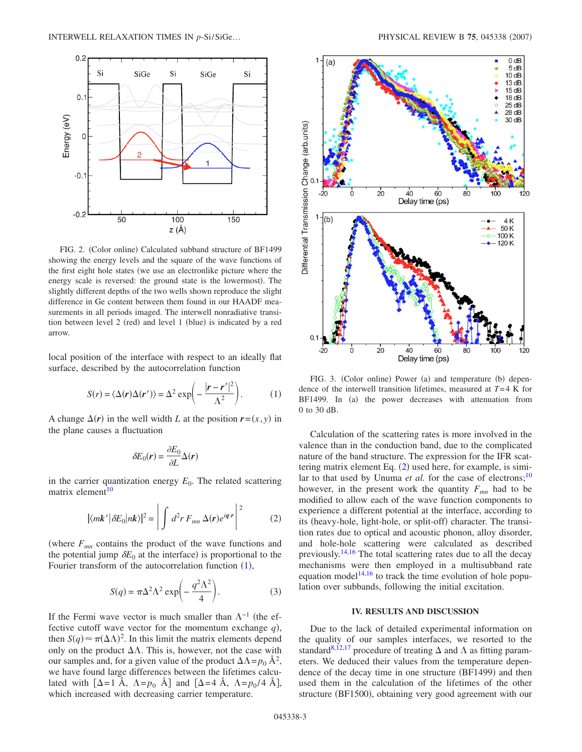<span id="page-2-0"></span>

FIG. 2. (Color online) Calculated subband structure of BF1499 showing the energy levels and the square of the wave functions of the first eight hole states (we use an electronlike picture where the energy scale is reversed: the ground state is the lowermost). The slightly different depths of the two wells shown reproduce the slight difference in Ge content between them found in our HAADF measurements in all periods imaged. The interwell nonradiative transition between level 2 (red) and level 1 (blue) is indicated by a red arrow.

<span id="page-2-2"></span>local position of the interface with respect to an ideally flat surface, described by the autocorrelation function

$$
S(r) = \langle \Delta(\mathbf{r}) \Delta(\mathbf{r'}) \rangle = \Delta^2 \exp\left(-\frac{|\mathbf{r} - \mathbf{r'}|^2}{\Delta^2}\right).
$$
 (1)

A change  $\Delta(r)$  in the well width *L* at the position  $r = (x, y)$  in the plane causes a fluctuation

$$
\delta E_0(r) = \frac{\partial E_0}{\partial L} \Delta(r)
$$

<span id="page-2-3"></span>in the carrier quantization energy  $E_0$ . The related scattering matrix element $10$ 

$$
|\langle m\boldsymbol{k}'|\delta E_0|n\boldsymbol{k}\rangle|^2 = \left|\int d^2r \, F_{mn} \, \Delta(\boldsymbol{r}) e^{i\boldsymbol{q}\cdot\boldsymbol{r}}\right|^2 \tag{2}
$$

(where  $F_{mn}$  contains the product of the wave functions and the potential jump  $\delta E_0$  at the interface) is proportional to the Fourier transform of the autocorrelation function ([1](#page-2-2)),

$$
S(q) = \pi \Delta^2 \Lambda^2 \exp\left(-\frac{q^2 \Lambda^2}{4}\right).
$$
 (3)

<span id="page-2-4"></span>If the Fermi wave vector is much smaller than  $\Lambda^{-1}$  (the effective cutoff wave vector for the momentum exchange  $q$ ), then  $S(q) \approx \pi (\Delta \Lambda)^2$ . In this limit the matrix elements depend only on the product  $\Delta\Lambda$ . This is, however, not the case with our samples and, for a given value of the product  $\Delta\Lambda = p_0 \, \mathring{A}^2$ , we have found large differences between the lifetimes calculated with  $[\Delta=1 \text{ Å}, \Delta=p_0 \text{ Å}]$  and  $[\Delta=4 \text{ Å}, \Delta=p_0/4 \text{ Å}]$ , which increased with decreasing carrier temperature.

<span id="page-2-1"></span>

FIG. 3. (Color online) Power (a) and temperature (b) dependence of the interwell transition lifetimes, measured at *T*=4 K for BF1499. In (a) the power decreases with attenuation from 0 to 30 dB.

Calculation of the scattering rates is more involved in the valence than in the conduction band, due to the complicated nature of the band structure. The expression for the IFR scattering matrix element Eq.  $(2)$  $(2)$  $(2)$  used here, for example, is similar to that used by Unuma *et al.* for the case of electrons;<sup>10</sup> however, in the present work the quantity  $F_{mn}$  had to be modified to allow each of the wave function components to experience a different potential at the interface, according to its (heavy-hole, light-hole, or split-off) character. The transition rates due to optical and acoustic phonon, alloy disorder, and hole-hole scattering were calculated as described previously.<sup>14[,16](#page-5-14)</sup> The total scattering rates due to all the decay mechanisms were then employed in a multisubband rate equation model<sup>14[,16](#page-5-14)</sup> to track the time evolution of hole population over subbands, following the initial excitation.

## **IV. RESULTS AND DISCUSSION**

Due to the lack of detailed experimental information on the quality of our samples interfaces, we resorted to the standard<sup>8,[12,](#page-5-7)[17](#page-5-16)</sup> procedure of treating  $\Delta$  and  $\Lambda$  as fitting parameters. We deduced their values from the temperature dependence of the decay time in one structure (BF1499) and then used them in the calculation of the lifetimes of the other structure (BF1500), obtaining very good agreement with our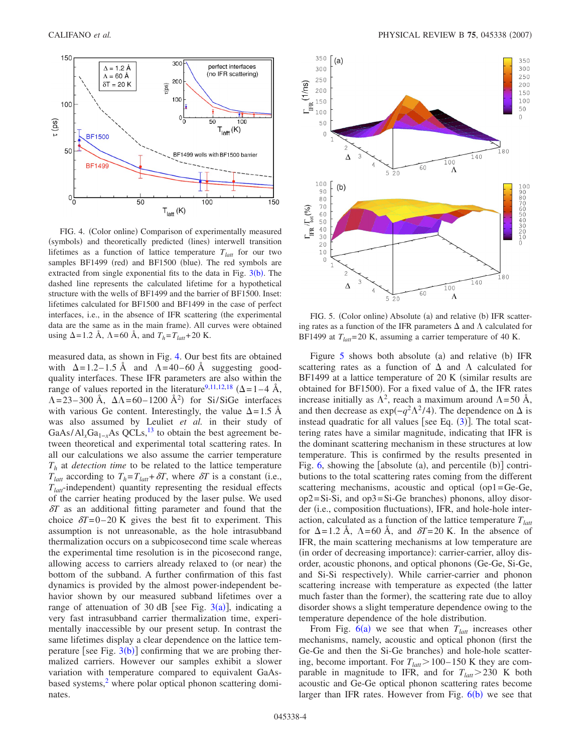<span id="page-3-0"></span>

FIG. 4. (Color online) Comparison of experimentally measured (symbols) and theoretically predicted (lines) interwell transition lifetimes as a function of lattice temperature  $T<sub>latt</sub>$  for our two samples BF1499 (red) and BF1500 (blue). The red symbols are extracted from single exponential fits to the data in Fig.  $3(b)$  $3(b)$ . The dashed line represents the calculated lifetime for a hypothetical structure with the wells of BF1499 and the barrier of BF1500. Inset: lifetimes calculated for BF1500 and BF1499 in the case of perfect interfaces, i.e., in the absence of IFR scattering (the experimental data are the same as in the main frame). All curves were obtained using  $\Delta$ =1.2 Å,  $\Lambda$ =60 Å, and  $T_h$ = $T_{latt}$ +20 K.

measured data, as shown in Fig. [4.](#page-3-0) Our best fits are obtained with  $\Delta = 1.2 - 1.5$  Å and  $\Lambda = 40 - 60$  Å suggesting goodquality interfaces. These IFR parameters are also within the range of values reported in the literature<sup>9[,11](#page-5-10)[,12](#page-5-7)[,18](#page-5-17)</sup> ( $\Delta$ =1–4 Å,  $\Lambda$ =23–300 Å,  $\Delta\Lambda$ =60–1200 Å<sup>2</sup>) for Si/SiGe interfaces with various Ge content. Interestingly, the value  $\Delta = 1.5$  Å was also assumed by Leuliet *et al.* in their study of  $GaAs/Al<sub>x</sub>Ga<sub>1-x</sub>As QCLs<sup>13</sup>$  to obtain the best agreement between theoretical and experimental total scattering rates. In all our calculations we also assume the carrier temperature *Th* at *detection time* to be related to the lattice temperature  $T_{latt}$  according to  $T_h = T_{latt} + \delta T$ , where  $\delta T$  is a constant (i.e.,  $T<sub>latt</sub>$ -independent) quantity representing the residual effects of the carrier heating produced by the laser pulse. We used  $\delta T$  as an additional fitting parameter and found that the choice  $\delta T = 0-20$  K gives the best fit to experiment. This assumption is not unreasonable, as the hole intrasubband thermalization occurs on a subpicosecond time scale whereas the experimental time resolution is in the picosecond range, allowing access to carriers already relaxed to (or near) the bottom of the subband. A further confirmation of this fast dynamics is provided by the almost power-independent behavior shown by our measured subband lifetimes over a range of attenuation of [3](#page-2-1)0 dB [see Fig.  $3(a)$ ], indicating a very fast intrasubband carrier thermalization time, experimentally inaccessible by our present setup. In contrast the same lifetimes display a clear dependence on the lattice temperature [see Fig.  $3(b)$  $3(b)$ ] confirming that we are probing thermalized carriers. However our samples exhibit a slower variation with temperature compared to equivalent GaAsbased systems,<sup>2</sup> where polar optical phonon scattering dominates.

<span id="page-3-1"></span>

FIG. 5. (Color online) Absolute (a) and relative (b) IFR scattering rates as a function of the IFR parameters  $\Delta$  and  $\Lambda$  calculated for BF1499 at  $T<sub>latt</sub> = 20$  K, assuming a carrier temperature of 40 K.

Figure  $5$  shows both absolute (a) and relative (b) IFR scattering rates as a function of  $\Delta$  and  $\Lambda$  calculated for BF1499 at a lattice temperature of  $20 \text{ K}$  (similar results are obtained for BF1500). For a fixed value of  $\Delta$ , the IFR rates increase initially as  $\Lambda^2$ , reach a maximum around  $\Lambda$ =50 Å, and then decrease as  $\exp(-q^2 \Lambda^2/4)$ . The dependence on  $\Delta$  is instead quadratic for all values [see Eq.  $(3)$  $(3)$  $(3)$ ]. The total scattering rates have a similar magnitude, indicating that IFR is the dominant scattering mechanism in these structures at low temperature. This is confirmed by the results presented in Fig.  $6$ , showing the [absolute (a), and percentile (b)] contributions to the total scattering rates coming from the different scattering mechanisms, acoustic and optical  $(op1=Ge-Ge$ ,  $op2 = Si-Si$ , and  $op3 = Si-Ge$  branches) phonons, alloy disorder (i.e., composition fluctuations), IFR, and hole-hole interaction, calculated as a function of the lattice temperature  $T_{latt}$ for  $\Delta = 1.2$  Å,  $\Lambda = 60$  Å, and  $\delta T = 20$  K. In the absence of IFR, the main scattering mechanisms at low temperature are (in order of decreasing importance): carrier-carrier, alloy disorder, acoustic phonons, and optical phonons Ge-Ge, Si-Ge, and Si-Si respectively). While carrier-carrier and phonon scattering increase with temperature as expected (the latter much faster than the former), the scattering rate due to alloy disorder shows a slight temperature dependence owing to the temperature dependence of the hole distribution.

From Fig.  $6(a)$  $6(a)$  we see that when  $T<sub>latt</sub>$  increases other mechanisms, namely, acoustic and optical phonon first the Ge-Ge and then the Si-Ge branches) and hole-hole scattering, become important. For  $T_{latt}$  > 100–150 K they are comparable in magnitude to IFR, and for  $T_{latt}$  > 230 K both acoustic and Ge-Ge optical phonon scattering rates become larger than IFR rates. However from Fig.  $6(b)$  $6(b)$  we see that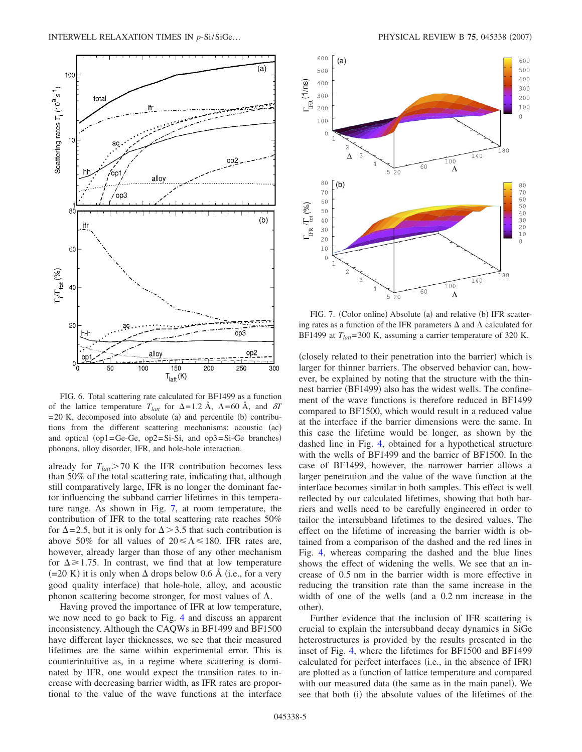<span id="page-4-0"></span>

FIG. 6. Total scattering rate calculated for BF1499 as a function of the lattice temperature  $T_{latt}$  for  $\Delta = 1.2 \text{ Å}$ ,  $\Lambda = 60 \text{ Å}$ , and  $\delta T$  $= 20$  K, decomposed into absolute (a) and percentile (b) contributions from the different scattering mechanisms: acoustic (ac) and optical (op1=Ge-Ge, op2=Si-Si, and op3=Si-Ge branches) phonons, alloy disorder, IFR, and hole-hole interaction.

already for  $T_{latt}$  > 70 K the IFR contribution becomes less than 50% of the total scattering rate, indicating that, although still comparatively large, IFR is no longer the dominant factor influencing the subband carrier lifetimes in this temperature range. As shown in Fig. [7,](#page-4-1) at room temperature, the contribution of IFR to the total scattering rate reaches 50% for  $\Delta$ =2.5, but it is only for  $\Delta$  > 3.5 that such contribution is above 50% for all values of  $20 \le \Lambda \le 180$ . IFR rates are, however, already larger than those of any other mechanism for  $\Delta \ge 1.75$ . In contrast, we find that at low temperature  $(=20 \text{ K})$  it is only when  $\Delta$  drops below 0.6 Å (i.e., for a very good quality interface) that hole-hole, alloy, and acoustic phonon scattering become stronger, for most values of  $\Lambda$ .

Having proved the importance of IFR at low temperature, we now need to go back to Fig. [4](#page-3-0) and discuss an apparent inconsistency. Although the CAQWs in BF1499 and BF1500 have different layer thicknesses, we see that their measured lifetimes are the same within experimental error. This is counterintuitive as, in a regime where scattering is dominated by IFR, one would expect the transition rates to increase with decreasing barrier width, as IFR rates are proportional to the value of the wave functions at the interface

<span id="page-4-1"></span>

FIG. 7. (Color online) Absolute (a) and relative (b) IFR scattering rates as a function of the IFR parameters  $\Delta$  and  $\Lambda$  calculated for BF1499 at  $T_{latt}$ =300 K, assuming a carrier temperature of 320 K.

(closely related to their penetration into the barrier) which is larger for thinner barriers. The observed behavior can, however, be explained by noting that the structure with the thinnest barrier (BF1499) also has the widest wells. The confinement of the wave functions is therefore reduced in BF1499 compared to BF1500, which would result in a reduced value at the interface if the barrier dimensions were the same. In this case the lifetime would be longer, as shown by the dashed line in Fig. [4,](#page-3-0) obtained for a hypothetical structure with the wells of BF1499 and the barrier of BF1500. In the case of BF1499, however, the narrower barrier allows a larger penetration and the value of the wave function at the interface becomes similar in both samples. This effect is well reflected by our calculated lifetimes, showing that both barriers and wells need to be carefully engineered in order to tailor the intersubband lifetimes to the desired values. The effect on the lifetime of increasing the barrier width is obtained from a comparison of the dashed and the red lines in Fig. [4,](#page-3-0) whereas comparing the dashed and the blue lines shows the effect of widening the wells. We see that an increase of 0.5 nm in the barrier width is more effective in reducing the transition rate than the same increase in the width of one of the wells (and a  $0.2$  nm increase in the other).

Further evidence that the inclusion of IFR scattering is crucial to explain the intersubband decay dynamics in SiGe heterostructures is provided by the results presented in the inset of Fig. [4,](#page-3-0) where the lifetimes for BF1500 and BF1499 calculated for perfect interfaces (i.e., in the absence of IFR) are plotted as a function of lattice temperature and compared with our measured data (the same as in the main panel). We see that both (i) the absolute values of the lifetimes of the